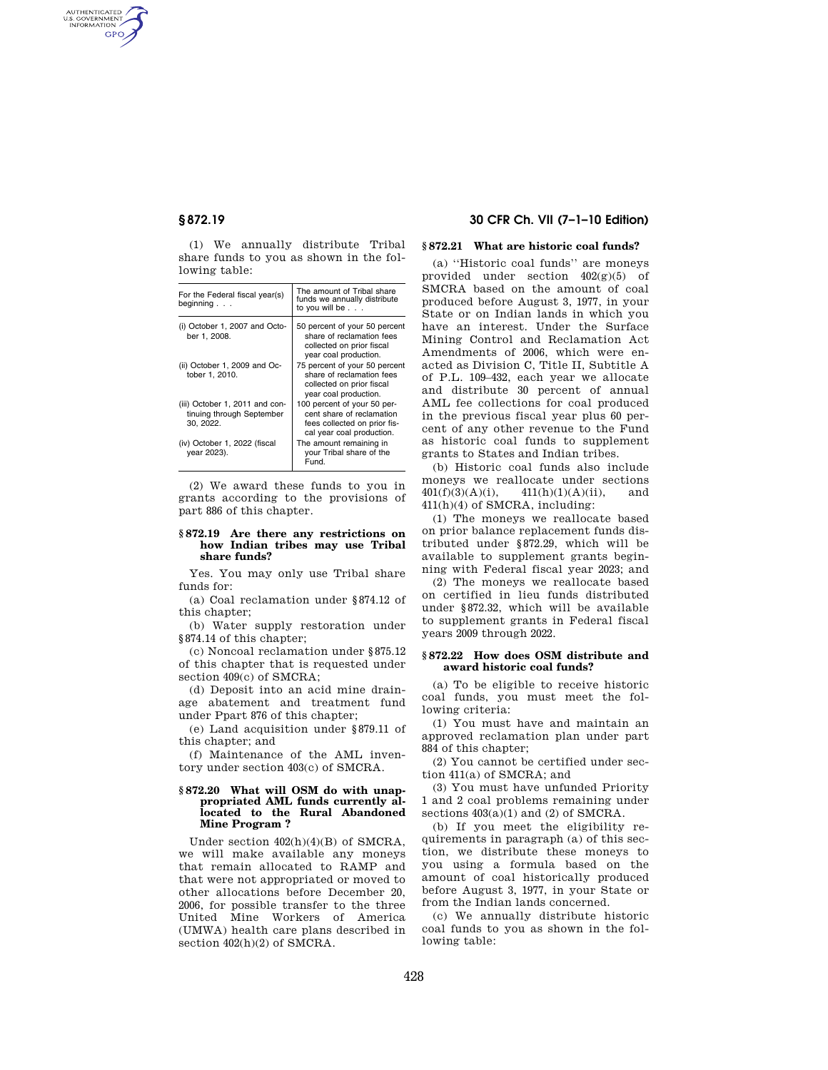AUTHENTICATED<br>U.S. GOVERNMENT<br>INFORMATION **GPO** 

> (1) We annually distribute Tribal share funds to you as shown in the following table:

| For the Federal fiscal year(s)<br>beginning $\ldots$                     | The amount of Tribal share<br>funds we annually distribute<br>to you will be                                          |
|--------------------------------------------------------------------------|-----------------------------------------------------------------------------------------------------------------------|
| (i) October 1, 2007 and Octo-<br>ber 1, 2008.                            | 50 percent of your 50 percent<br>share of reclamation fees<br>collected on prior fiscal<br>year coal production.      |
| (ii) October 1, 2009 and Oc-<br>tober 1, 2010.                           | 75 percent of your 50 percent<br>share of reclamation fees<br>collected on prior fiscal<br>year coal production.      |
| (iii) October 1, 2011 and con-<br>tinuing through September<br>30, 2022. | 100 percent of your 50 per-<br>cent share of reclamation<br>fees collected on prior fis-<br>cal year coal production. |
| (iv) October 1, 2022 (fiscal<br>vear 2023).                              | The amount remaining in<br>your Tribal share of the<br>Fund.                                                          |

(2) We award these funds to you in grants according to the provisions of part 886 of this chapter.

# **§ 872.19 Are there any restrictions on how Indian tribes may use Tribal share funds?**

Yes. You may only use Tribal share funds for:

(a) Coal reclamation under §874.12 of this chapter;

(b) Water supply restoration under §874.14 of this chapter;

(c) Noncoal reclamation under §875.12 of this chapter that is requested under section 409(c) of SMCRA;

(d) Deposit into an acid mine drainage abatement and treatment fund under Ppart 876 of this chapter;

(e) Land acquisition under §879.11 of this chapter; and

(f) Maintenance of the AML inventory under section 403(c) of SMCRA.

### **§ 872.20 What will OSM do with unappropriated AML funds currently allocated to the Rural Abandoned Mine Program ?**

Under section 402(h)(4)(B) of SMCRA, we will make available any moneys that remain allocated to RAMP and that were not appropriated or moved to other allocations before December 20, 2006, for possible transfer to the three United Mine Workers of America (UMWA) health care plans described in section  $402(h)(2)$  of SMCRA.

# **§ 872.19 30 CFR Ch. VII (7–1–10 Edition)**

# **§ 872.21 What are historic coal funds?**

(a) ''Historic coal funds'' are moneys provided under section 402(g)(5) of SMCRA based on the amount of coal produced before August 3, 1977, in your State or on Indian lands in which you have an interest. Under the Surface Mining Control and Reclamation Act Amendments of 2006, which were enacted as Division C, Title II, Subtitle A of P.L. 109–432, each year we allocate and distribute 30 percent of annual AML fee collections for coal produced in the previous fiscal year plus 60 percent of any other revenue to the Fund as historic coal funds to supplement grants to States and Indian tribes.

(b) Historic coal funds also include moneys we reallocate under sections  $401(f)(3)(A)(i),$   $411(h)(1)(A)(ii),$  and 411(h)(4) of SMCRA, including:

(1) The moneys we reallocate based on prior balance replacement funds distributed under §872.29, which will be available to supplement grants beginning with Federal fiscal year 2023; and

(2) The moneys we reallocate based on certified in lieu funds distributed under §872.32, which will be available to supplement grants in Federal fiscal years 2009 through 2022.

# **§ 872.22 How does OSM distribute and award historic coal funds?**

(a) To be eligible to receive historic coal funds, you must meet the following criteria:

(1) You must have and maintain an approved reclamation plan under part 884 of this chapter;

(2) You cannot be certified under section 411(a) of SMCRA; and

(3) You must have unfunded Priority 1 and 2 coal problems remaining under sections  $403(a)(1)$  and  $(2)$  of SMCRA.

(b) If you meet the eligibility requirements in paragraph (a) of this section, we distribute these moneys to you using a formula based on the amount of coal historically produced before August 3, 1977, in your State or from the Indian lands concerned.

(c) We annually distribute historic coal funds to you as shown in the following table: